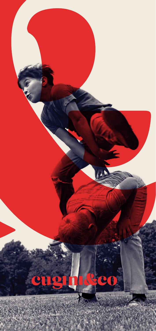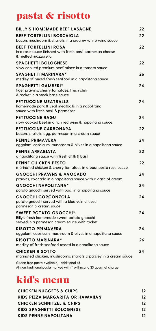## pasta & risotto

| <b>BILLY'S HOMEMADE BEEF LASAGNE</b>                                                                                        | 22 |
|-----------------------------------------------------------------------------------------------------------------------------|----|
| <b>BEEF TORTELLINI BOSCAIOLA</b><br>bacon, mushroom & shallots in a creamy white wine sauce                                 | 22 |
| <b>BEEF TORTELLINI ROSA</b><br>in a rose sauce finished with fresh basil parmesan cheese<br>& melted mozzarella             | 22 |
| <b>SPAGHETTI BOLOGNESE</b><br>slow cooked premium beef mince in a tomato sauce                                              | 22 |
| <b>SPAGHETTI MARINARA*</b><br>medley of mixed fresh seafood in a napolitana sauce                                           | 26 |
| <b>SPAGHETTI GAMBERI*</b><br>tiger prawns, cherry tomatoes, fresh chilli<br>& rocket in a stock base sauce                  | 24 |
| <b>FETTUCCINE MEATBALLS</b><br>homemade pork & veal meatballs in a napolitana<br>sauce with fresh basil & parmesan          | 24 |
| <b>FETTUCCINE RAGU</b><br>slow cooked beef in a rich red wine & napolitana sauce                                            | 24 |
| <b>FETTUCCINE CARBONARA</b><br>bacon, shallots, egg, parmesan in a cream sauce                                              | 22 |
| PENNE PRIMAVERA<br>eggplant, capsicum, mushroom & olives in a napolitana sauce                                              | 24 |
| PENNE ARRABIATA<br>a napolitana sauce with fresh chilli & basil                                                             | 22 |
| <b>PENNE CHICKEN PESTO</b><br>marinated chicken & cherry tomatoes in a basil pesto rose sauce                               | 22 |
| <b>GNOCCHI PRAWNS &amp; AVOCADO</b><br>prawns, avocado in a napolitana sauce with a dash of cream                           | 24 |
| <b>GNOCCHI NAPOLITANA*</b><br>potato gnocchi served with basil in a napolitana sauce                                        | 24 |
| <b>GNOCCHI GORGONZOLA</b><br>potato gnocchi served with a blue vein cheese,<br>parmesan & cream sauce                       | 24 |
| <b>SWEET POTATO GNOCCHI*</b><br>Billy's fresh homemade sweet potato gnocchi<br>served in a parmesan cream sauce with rocket | 24 |
| <b>RISOTTO PRIMAVERA</b><br>eggplant, capsicum, mushroom & olives in a napolitana sauce                                     | 24 |
| <b>RISOTTO MARINARA*</b><br>medley of fresh seafood tossed in a napolitana sauce                                            | 26 |
| <b>CHICKEN RISOTTO</b><br>marinated chicken, mushrooms, shallots & parsley in a cream sauce                                 | 24 |
| Gluten free pasta available - additional +3<br>All non traditional pasta marked with * will incur a \$3 gourmet charge      |    |

# kid's menu

| <b>CHICKEN NUGGETS &amp; CHIPS</b>   | 12 |
|--------------------------------------|----|
| KIDS PIZZA MARGARITA OR HAWAIIAN     | 12 |
| <b>CHICKEN SCHNITZEL &amp; CHIPS</b> | 12 |
| KIDS SPAGHETTI BOLOGNESE             | 12 |
| <b>KIDS PENNE NAPOLITANA</b>         | 12 |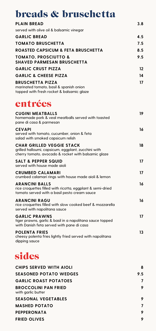### breads & bruschetta

| DIGAUS WIDIUSCHELLA                                                                                                                            |     |
|------------------------------------------------------------------------------------------------------------------------------------------------|-----|
| <b>PLAIN BREAD</b>                                                                                                                             | 3.8 |
| served with olive oil & balsamic vinegar                                                                                                       |     |
| <b>GARLIC BREAD</b>                                                                                                                            | 4.5 |
| <b>TOMATO BRUSCHETTA</b>                                                                                                                       | 7.5 |
| <b>ROASTED CAPSICUM &amp; FETA BRUSCHETTA</b>                                                                                                  | 8.5 |
| TOMATO. PROSCIUTTO &<br><b>SHAVED PARMESAN BRUSCHETTA</b>                                                                                      | 9.5 |
| <b>GARLIC CRUST PIZZA</b>                                                                                                                      | 12  |
| <b>GARLIC &amp; CHEESE PIZZA</b>                                                                                                               | 14  |
| <b>BRUSCHETTA PIZZA</b><br>marinated tomato, basil & spanish onion<br>topped with fresh rocket & balsamic glaze                                | 17  |
| entrées                                                                                                                                        |     |
| <b>CUGINI MEATBALLS</b><br>homemade pork & veal meatballs served with toasted<br>pane di casa & parmesan                                       | 19  |
| <b>CEVAPI</b><br>served with tomato, cucumber, onion & feta<br>salad with smoked capsicum relish                                               | 16  |
| <b>CHAR GRILLED VEGGIE STACK</b><br>grilled halloumi, capsicum, eggplant, zucchini with<br>cherry tomato, avocado & rocket with balsamic glaze | 18  |
| <b>SALT &amp; PEPPER SQUID</b><br>served with house made aioli                                                                                 | 17  |
| <b>CRUMBED CALAMARI</b><br>crumbed calamari rings with house made aioli & lemon                                                                | 17  |
| <b>ARANCINI BALLS</b><br>rice croquettes filled with ricotta, eggplant & semi-dried<br>tomato served with a basil pesto cream sauce            | 16  |
| <b>ARANCINI RAGU</b>                                                                                                                           | 16  |

**ARANCINI RAGU 16** rice croquettes filled with slow cooked beef & mozzarella served with napolitana sauce

**GARLIC PRAWNS 17** tiger prawns, garlic & basil in a napolitana sauce topped with Danish feta served with pane di casa

**POLENTA FRIES 13** cheesy polenta fries lightly fried served with napolitana dipping sauce

| sides                                             |     |
|---------------------------------------------------|-----|
| CHIPS SERVED WITH AIOLI                           | 8   |
| <b>SEASONED POTATO WEDGES</b>                     | 9.5 |
| <b>GARLIC ROAST POTATOES</b>                      |     |
| <b>BROCCOLINI PAN FRIED</b><br>with garlic butter |     |
| <b>SEASONAL VEGETABLES</b>                        |     |
| <b>MASHED POTATO</b>                              |     |
| <b>PEPPERONATA</b>                                |     |
| <b>FRIED OLIVES</b>                               |     |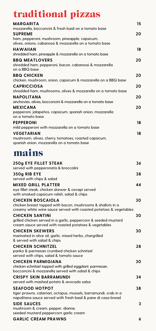## traditional pizzas

| <b>MARGARITA</b><br>mozzarella, bocconcini & fresh basil on a tomato base                                                                                       | 15 |
|-----------------------------------------------------------------------------------------------------------------------------------------------------------------|----|
| <b>SUPREME</b><br>ham, pepperoni, mushroom, pineapple, capsicum,                                                                                                | 20 |
| olives, onions, cabanossi & mozzarella on a tomato base<br><b>HAWAIIAN</b>                                                                                      | 18 |
| shredded ham, pineapple & mozzarella on a tomato base                                                                                                           |    |
| <b>BBQ MEATLOVERS</b><br>shredded ham, pepperoni, bacon, cabanossi & mozzarella<br>on a BBQ base                                                                | 20 |
| <b>BBQ CHICKEN</b><br>chicken, mushroom, onion, capsicum & mozzarella on a BBQ base                                                                             | 20 |
| <b>CAPRICCIOSA</b><br>shredded ham, mushrooms, olives & mozzarella on a tomato base                                                                             | 20 |
| <b>NAPOLITANA</b>                                                                                                                                               | 20 |
| anchovies, olives, bocconcini & mozzarella on a tomato base<br><b>MEXICANA</b><br>pepperoni, jalapeños, capsicum, spanish onion, mozzarella<br>on a tomato base | 20 |
| <b>PEPPERONI</b><br>mild pepperoni with mozzarella on a tomato base                                                                                             | 18 |
| <b>VEGETARIAN</b><br>mushroom, olives, cherry tomatoes, roasted capsicum,<br>spanish onion, mozzarella on a tomato base                                         | 18 |
| mains                                                                                                                                                           |    |
| 250g EYE FILLET STEAK<br>served with pepperonata & broccolini                                                                                                   | 36 |
| 350g RIB EYE<br>served with chips & salad                                                                                                                       | 38 |
| <b>MIXED GRILL PLATTER</b><br>eye fillet steak, chicken skewer & cevapi served<br>with smoked capsicum relish, salad & chips                                    | 44 |
| <b>CHICKEN BOSCAIOLA</b><br>chicken breast topped with bacon, mushrooms & shallots in a<br>creamy white wine sauce served with roasted potatoes & vegetables    | 30 |
| <b>CHICKEN SANTINI</b><br>grilled chicken served in a garlic, peppercorn & seeded mustard<br>cream sauce served with roasted potatoes & vegetables              | 30 |
| <b>CHICKEN SKEWERS</b><br>marinated in olive oil, garlic, mixed herbs, chargrilled<br>& served with salad & chips                                               | 30 |
| <b>CHICKEN SCHNITZEL</b><br>panko & parmesan crumbed chicken schnitzel<br>served with chips, salad & tomato sauce                                               | 28 |
| <b>CHICKEN PARMIGIANA</b><br>chicken schnitzel topped with grilled eggplant, parmesan,<br>bocconcini & mozzarella served with salad & chips                     | 30 |
| <b>CRISPY SKIN BARRAMUNDI</b>                                                                                                                                   | 34 |
| served with mashed potato & avocado salsa<br><b>SEAFOOD HOTPOT</b><br>tiger prawns, calamari, octopus, mussels, barramundi, crab in a                           | 38 |
| napolitana sauce served with fresh basil & pane di casa bread<br><b>SIDE SAUCES</b><br>mushroom & cream, pepper, dianne,                                        | 3  |
| seeded mustard peppercorn garlic cream<br><b>GARLIC CREAM PRAWNS</b>                                                                                            | 6  |
|                                                                                                                                                                 |    |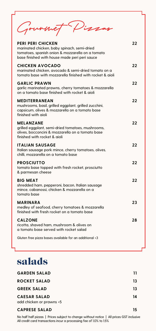Gourn et Pissas

| <b>PERI PERI CHICKEN</b><br>marinated chicken, baby spinach, semi-dried<br>tomatoes, spanish onion & mozzarella on a tomato<br>base finished with house made peri peri sauce | 22 |
|------------------------------------------------------------------------------------------------------------------------------------------------------------------------------|----|
| <b>CHICKEN AVOCADO</b><br>marinated chicken, avocado & semi-dried tomato on a<br>tomato base with mozzarella finished with rocket & aioli                                    | 22 |
| <b>GARLIC PRAWN</b><br>garlic marinated prawns, cherry tomatoes & mozzarella<br>on a tomato base finished with rocket & aioli                                                | 22 |
| <b>MEDITERRANEAN</b><br>mushrooms, basil, grilled eggplant, grilled zucchini,<br>capsicum, olives & mozzarella on a tomato base<br>finished with aioli                       | 22 |
| <b>MELANZANE</b><br>grilled eggplant, semi-dried tomatoes, mushrooms,<br>olives, bocconcini & mozzarella on a tomato base<br>finished with rocket & aioli                    | 22 |
| ITALIAN SAUSAGE<br>Italian sausage pork mince, cherry tomatoes, olives,<br>chilli, mozzarella on a tomato base                                                               | 22 |
| <b>PROSCIUTTO</b><br>tomato base topped with fresh rocket, prosciutto<br>& parmesan cheese                                                                                   | 22 |
| <b>BIG MEAT</b><br>shredded ham, pepperoni, bacon, Italian sausage<br>mince, cabanossi, chicken & mozzarella on a<br>tomato base                                             | 22 |
| <b>MARINARA</b><br>medley of seafood, cherry tomatoes & mozzarella<br>finished with fresh rocket on a tomato base                                                            | 23 |
| <b>CALZONE</b><br>ricotta, shaved ham, mushroom & olives on<br>a tomato base served with rocket salad                                                                        | 28 |
| Gluten free pizza bases available for an additional +3                                                                                                                       |    |

# salads

| <b>GARDEN SALAD</b>                             | 11 |
|-------------------------------------------------|----|
| <b>ROCKET SALAD</b>                             | 13 |
| <b>GREEK SALAD</b>                              | 13 |
| <b>CAESAR SALAD</b><br>add chicken or prawns +5 | 14 |
| <b>CAPRESE SALAD</b>                            | 15 |

No half half pizzas | Prices subject to change without notice | All prices GST inclusive All credit card transactions incur a processing fee of 1.0% to 1.5%